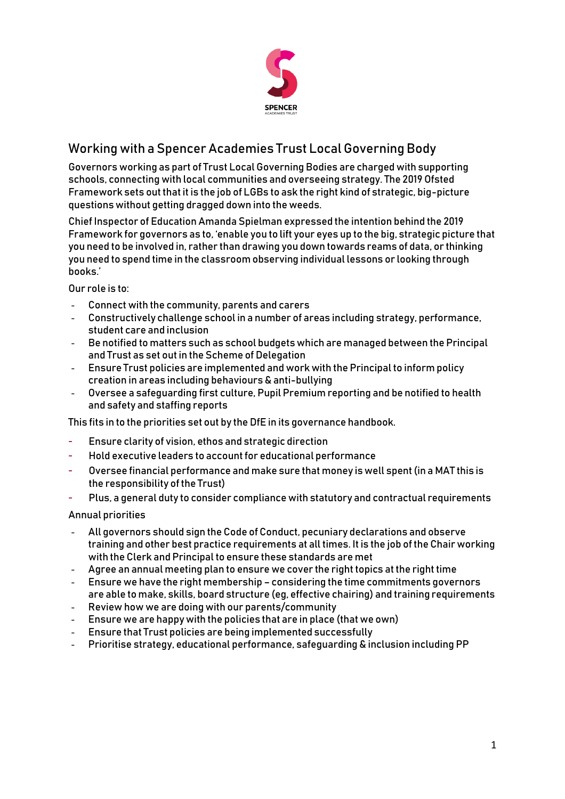

# Working with a Spencer Academies Trust Local Governing Body

Governors working as part of Trust Local Governing Bodies are charged with supporting schools, connecting with local communities and overseeing strategy. The 2019 Ofsted Framework sets out that it is the job of LGBs to ask the right kind of strategic, big-picture questions without getting dragged down into the weeds.

Chief Inspector of Education Amanda Spielman expressed the intention behind the 2019 Framework for governors as to, 'enable you to lift your eyes up to the big, strategic picture that you need to be involved in, rather than drawing you down towards reams of data, or thinking you need to spend time in the classroom observing individual lessons or looking through books.'

Our role is to:

- Connect with the community, parents and carers
- Constructively challenge school in a number of areas including strategy, performance, student care and inclusion
- Be notified to matters such as school budgets which are managed between the Principal and Trust as set out in the Scheme of Delegation
- Ensure Trust policies are implemented and work with the Principal to inform policy creation in areas including behaviours & anti-bullying
- Oversee a safeguarding first culture, Pupil Premium reporting and be notified to health and safety and staffing reports

This fits in to the priorities set out by the DfE in its governance handbook.

- Ensure clarity of vision, ethos and strategic direction
- Hold executive leaders to account for educational performance
- Oversee financial performance and make sure that money is well spent (in a MAT this is the responsibility of the Trust)
- Plus, a general duty to consider compliance with statutory and contractual requirements

Annual priorities

- All governors should sign the Code of Conduct, pecuniary declarations and observe training and other best practice requirements at all times. It is the job of the Chair working with the Clerk and Principal to ensure these standards are met
- Agree an annual meeting plan to ensure we cover the right topics at the right time
- Ensure we have the right membership considering the time commitments governors are able to make, skills, board structure (eg, effective chairing) and training requirements
- Review how we are doing with our parents/community
- Ensure we are happy with the policies that are in place (that we own)
- Ensure that Trust policies are being implemented successfully
- Prioritise strategy, educational performance, safeguarding & inclusion including PP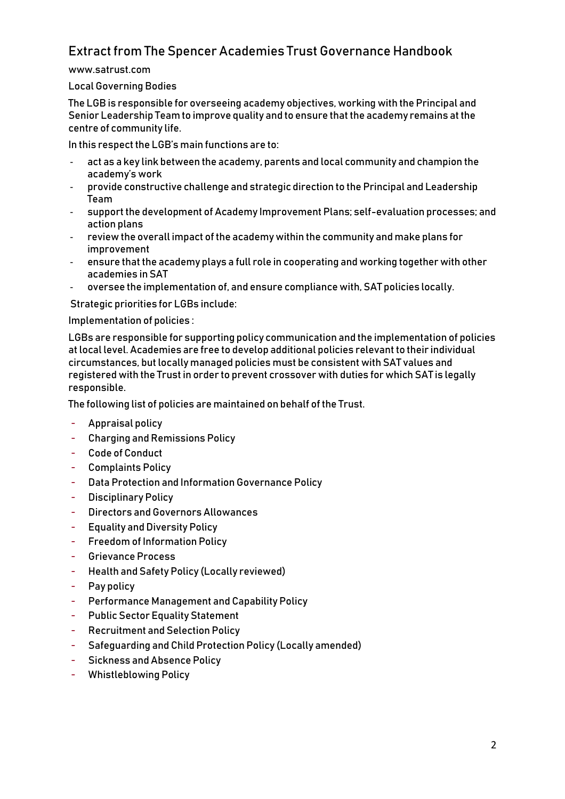## Extract from The Spencer Academies Trust Governance Handbook

www.satrust.com

#### Local Governing Bodies

The LGB is responsible for overseeing academy objectives, working with the Principal and Senior Leadership Team to improve quality and to ensure that the academy remains at the centre of community life.

In this respect the LGB's main functions are to:

- act as a key link between the academy, parents and local community and champion the academy's work
- provide constructive challenge and strategic direction to the Principal and Leadership Team
- support the development of Academy Improvement Plans; self-evaluation processes; and action plans
- review the overall impact of the academy within the community and make plans for improvement
- ensure that the academy plays a full role in cooperating and working together with other academies in SAT
- oversee the implementation of, and ensure compliance with, SAT policies locally.

Strategic priorities for LGBs include:

Implementation of policies :

LGBs are responsible for supporting policy communication and the implementation of policies at local level. Academies are free to develop additional policies relevant to their individual circumstances, but locally managed policies must be consistent with SAT values and registered with the Trust in order to prevent crossover with duties for which SAT is legally responsible.

The following list of policies are maintained on behalf of the Trust.

- Appraisal policy
- Charging and Remissions Policy
- Code of Conduct
- Complaints Policy
- Data Protection and Information Governance Policy
- Disciplinary Policy
- Directors and Governors Allowances
- Equality and Diversity Policy
- Freedom of Information Policy
- Grievance Process
- Health and Safety Policy (Locally reviewed)
- Pay policy
- Performance Management and Capability Policy
- Public Sector Equality Statement
- Recruitment and Selection Policy
- Safeguarding and Child Protection Policy (Locally amended)
- Sickness and Absence Policy
- Whistleblowing Policy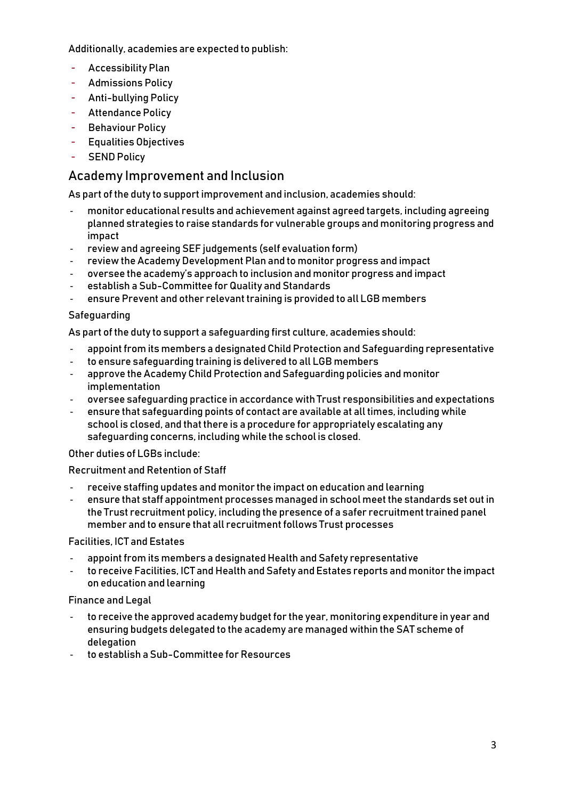Additionally, academies are expected to publish:

- Accessibility Plan
- Admissions Policy
- Anti-bullying Policy
- Attendance Policy
- Behaviour Policy
- Equalities Objectives
- SEND Policy

## Academy Improvement and Inclusion

As part of the duty to support improvement and inclusion, academies should:

- monitor educational results and achievement against agreed targets, including agreeing planned strategies to raise standards for vulnerable groups and monitoring progress and impact
- review and agreeing SEF judgements (self evaluation form)
- review the Academy Development Plan and to monitor progress and impact
- oversee the academy's approach to inclusion and monitor progress and impact
- establish a Sub-Committee for Quality and Standards
- ensure Prevent and other relevant training is provided to all LGB members

#### Safeguarding

As part of the duty to support a safeguarding first culture, academies should:

- appoint from its members a designated Child Protection and Safeguarding representative
- to ensure safeguarding training is delivered to all LGB members
- approve the Academy Child Protection and Safeguarding policies and monitor implementation
- oversee safeguarding practice in accordance with Trust responsibilities and expectations
- ensure that safeguarding points of contact are available at all times, including while school is closed, and that there is a procedure for appropriately escalating any safeguarding concerns, including while the school is closed.

### Other duties of LGBs include:

### Recruitment and Retention of Staff

- receive staffing updates and monitor the impact on education and learning
- ensure that staff appointment processes managed in school meet the standards set out in the Trust recruitment policy, including the presence of a safer recruitment trained panel member and to ensure that all recruitment follows Trust processes

#### Facilities, ICT and Estates

- appoint from its members a designated Health and Safety representative
- to receive Facilities, ICT and Health and Safety and Estates reports and monitor the impact on education and learning

#### Finance and Legal

- to receive the approved academy budget for the year, monitoring expenditure in year and ensuring budgets delegated to the academy are managed within the SAT scheme of delegation
- to establish a Sub-Committee for Resources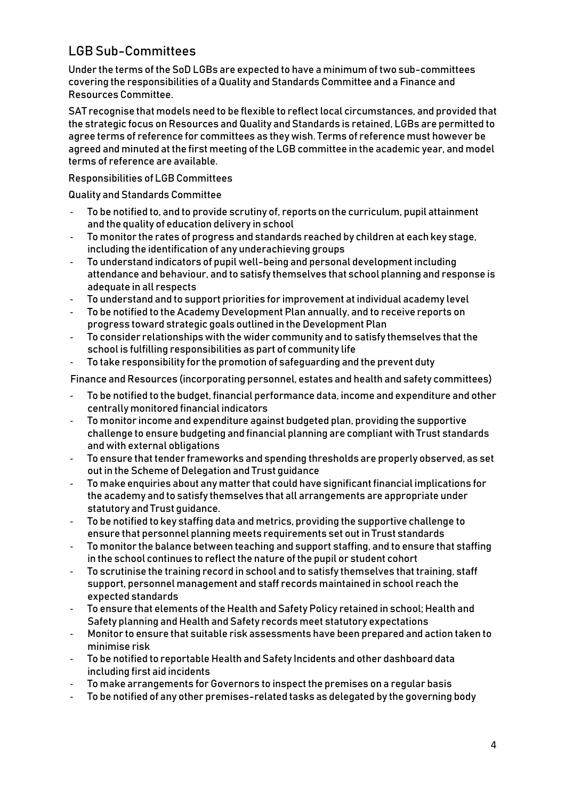## LGB Sub-Committees

Under the terms of the SoD LGBs are expected to have a minimum of two sub-committees covering the responsibilities of a Quality and Standards Committee and a Finance and Resources Committee.

SAT recognise that models need to be flexible to reflect local circumstances, and provided that the strategic focus on Resources and Quality and Standards is retained, LGBs are permitted to agree terms of reference for committees as they wish. Terms of reference must however be agreed and minuted at the first meeting of the LGB committee in the academic year, and model terms of reference are available.

Responsibilities of LGB Committees

Quality and Standards Committee

- To be notified to, and to provide scrutiny of, reports on the curriculum, pupil attainment and the quality of education delivery in school
- To monitor the rates of progress and standards reached by children at each key stage, including the identification of any underachieving groups
- To understand indicators of pupil well-being and personal development including attendance and behaviour, and to satisfy themselves that school planning and response is adequate in all respects
- To understand and to support priorities for improvement at individual academy level
- To be notified to the Academy Development Plan annually, and to receive reports on progress toward strategic goals outlined in the Development Plan
- To consider relationships with the wider community and to satisfy themselves that the school is fulfilling responsibilities as part of community life
- To take responsibility for the promotion of safeguarding and the prevent duty

Finance and Resources (incorporating personnel, estates and health and safety committees)

- To be notified to the budget, financial performance data, income and expenditure and other centrally monitored financial indicators
- To monitor income and expenditure against budgeted plan, providing the supportive challenge to ensure budgeting and financial planning are compliant with Trust standards and with external obligations
- To ensure that tender frameworks and spending thresholds are properly observed, as set out in the Scheme of Delegation and Trust guidance
- To make enquiries about any matter that could have significant financial implications for the academy and to satisfy themselves that all arrangements are appropriate under statutory and Trust guidance.
- To be notified to key staffing data and metrics, providing the supportive challenge to ensure that personnel planning meets requirements set out in Trust standards
- To monitor the balance between teaching and support staffing, and to ensure that staffing in the school continues to reflect the nature of the pupil or student cohort
- To scrutinise the training record in school and to satisfy themselves that training, staff support, personnel management and staff records maintained in school reach the expected standards
- To ensure that elements of the Health and Safety Policy retained in school; Health and Safety planning and Health and Safety records meet statutory expectations
- Monitor to ensure that suitable risk assessments have been prepared and action taken to minimise risk
- To be notified to reportable Health and Safety Incidents and other dashboard data including first aid incidents
- To make arrangements for Governors to inspect the premises on a regular basis
- To be notified of any other premises-related tasks as delegated by the governing body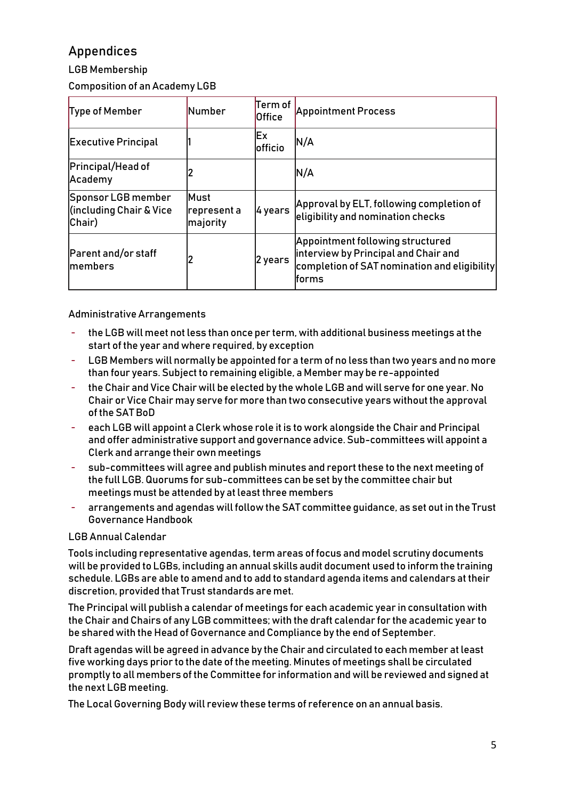## Appendices

LGB Membership

Composition of an Academy LGB

| Type of Member                                          | <b>Number</b>                   | Term of<br><b>Office</b> | <b>Appointment Process</b>                                                                                                        |
|---------------------------------------------------------|---------------------------------|--------------------------|-----------------------------------------------------------------------------------------------------------------------------------|
| <b>Executive Principal</b>                              |                                 | Ex<br><b>lofficio</b>    | N/A                                                                                                                               |
| Principal/Head of<br>Academy                            |                                 |                          | N/A                                                                                                                               |
| Sponsor LGB member<br>(including Chair & Vice<br>Chair) | Must<br>represent a<br>majority | 4 years                  | Approval by ELT, following completion of<br>eligibility and nomination checks                                                     |
| Parent and/or staff<br><b>Imembers</b>                  |                                 | 2 years                  | Appointment following structured<br>interview by Principal and Chair and<br>completion of SAT nomination and eligibility<br>forms |

Administrative Arrangements

- the LGB will meet not less than once per term, with additional business meetings at the start of the year and where required, by exception
- LGB Members will normally be appointed for a term of no less than two years and no more than four years. Subject to remaining eligible, a Member may be re-appointed
- the Chair and Vice Chair will be elected by the whole LGB and will serve for one year. No Chair or Vice Chair may serve for more than two consecutive years without the approval of the SAT BoD
- each LGB will appoint a Clerk whose role it is to work alongside the Chair and Principal and offer administrative support and governance advice. Sub-committees will appoint a Clerk and arrange their own meetings
- sub-committees will agree and publish minutes and report these to the next meeting of the full LGB. Quorums for sub-committees can be set by the committee chair but meetings must be attended by at least three members
- arrangements and agendas will follow the SAT committee guidance, as set out in the Trust Governance Handbook

### LGB Annual Calendar

Tools including representative agendas, term areas of focus and model scrutiny documents will be provided to LGBs, including an annual skills audit document used to inform the training schedule. LGBs are able to amend and to add to standard agenda items and calendars at their discretion, provided that Trust standards are met.

The Principal will publish a calendar of meetings for each academic year in consultation with the Chair and Chairs of any LGB committees; with the draft calendar for the academic year to be shared with the Head of Governance and Compliance by the end of September.

Draft agendas will be agreed in advance by the Chair and circulated to each member at least five working days prior to the date of the meeting. Minutes of meetings shall be circulated promptly to all members of the Committee for information and will be reviewed and signed at the next LGB meeting.

The Local Governing Body will review these terms of reference on an annual basis.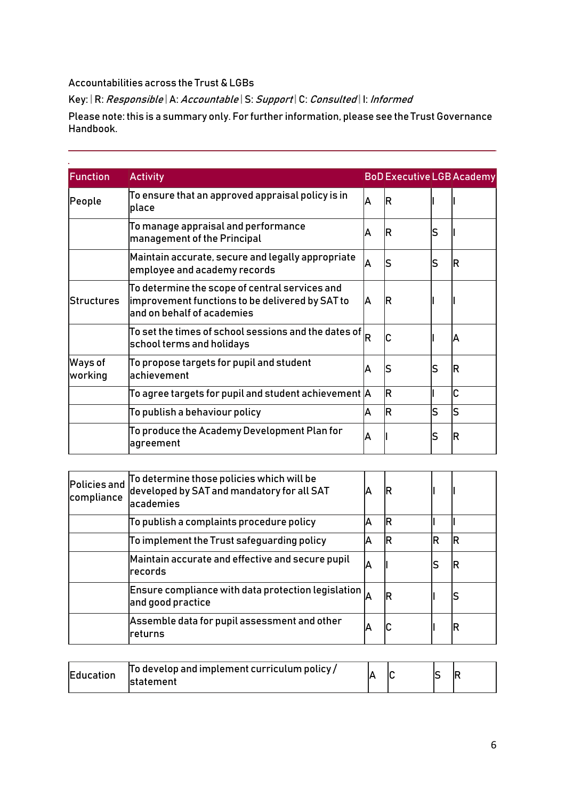### Accountabilities across the Trust & LGBs

Key: | R: Responsible | A: Accountable | S: Support | C: Consulted | I: Informed

Please note: this is a summary only. For further information, please see the Trust Governance Handbook.

| Function           | <b>Activity</b>                                                                                                                 |    | <b>BoD Executive LGB Academy</b> |    |    |
|--------------------|---------------------------------------------------------------------------------------------------------------------------------|----|----------------------------------|----|----|
| People             | To ensure that an approved appraisal policy is in<br>place                                                                      | ΙA | ΙR                               |    |    |
|                    | To manage appraisal and performance<br>management of the Principal                                                              | A  | ΙR                               | lS |    |
|                    | Maintain accurate, secure and legally appropriate<br>employee and academy records                                               | ΙA | S                                | lS | IR |
| Structures         | To determine the scope of central services and<br>improvement functions to be delivered by SAT to<br>and on behalf of academies | ΙA | ΙR                               |    |    |
|                    | To set the times of school sessions and the dates of<br>school terms and holidays                                               | ΙR | С                                |    | ΙA |
| Ways of<br>working | To propose targets for pupil and student<br>achievement                                                                         | A  | S                                | lS | lR |
|                    | To agree targets for pupil and student achievement $\vert$ A                                                                    |    | R                                |    | C  |
|                    | To publish a behaviour policy                                                                                                   | A  | ΙR                               | ls | ls |
|                    | To produce the Academy Development Plan for<br> agreement                                                                       | A  |                                  | lS | ΙR |

| Policies and<br>compliance | To determine those policies which will be<br>developed by SAT and mandatory for all SAT<br>lacademies       |    | ΙR |    |    |
|----------------------------|-------------------------------------------------------------------------------------------------------------|----|----|----|----|
|                            | To publish a complaints procedure policy                                                                    |    | IR |    |    |
|                            | To implement the Trust safeguarding policy                                                                  | А  | IR | IR | ΙR |
|                            | Maintain accurate and effective and secure pupil<br>Irecords                                                | ΙA |    |    |    |
|                            | Ensure compliance with data protection legislation $\vert_{\scriptscriptstyle\Lambda}$<br>and good practice |    | ΙR |    |    |
|                            | Assemble data for pupil assessment and other<br>lreturns                                                    |    | С  |    | ΙR |

| <b>Education</b> | To develop and implement curriculum policy /<br><b>Istatement</b> |  |  |  |  |  |
|------------------|-------------------------------------------------------------------|--|--|--|--|--|
|------------------|-------------------------------------------------------------------|--|--|--|--|--|